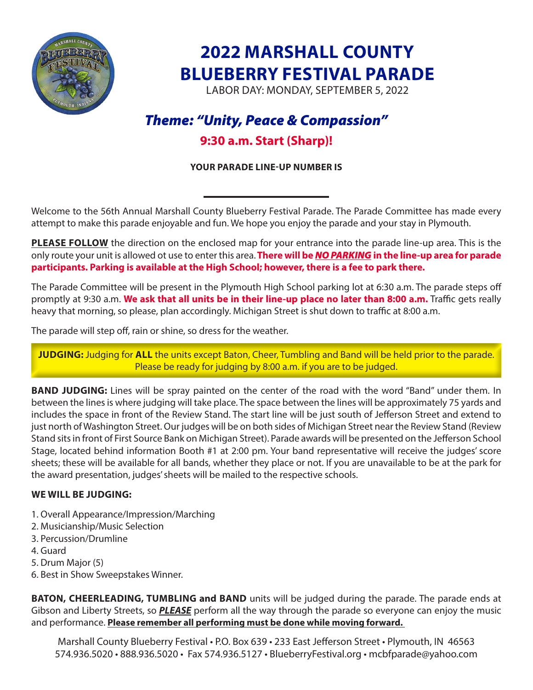

# **2022 MARSHALL COUNTY BLUEBERRY FESTIVAL PARADE**

LABOR DAY: MONDAY, SEPTEMBER 5, 2022

# *Theme: "Unity, Peace & Compassion"*

# **9:30 a.m. Start (Sharp)!**

### **YOUR PARADE LINE-UP NUMBER IS**

Welcome to the 56th Annual Marshall County Blueberry Festival Parade. The Parade Committee has made every attempt to make this parade enjoyable and fun. We hope you enjoy the parade and your stay in Plymouth.

**PLEASE FOLLOW** the direction on the enclosed map for your entrance into the parade line-up area. This is the only route your unit is allowed ot use to enter this area.**There will be** *NO PARKING* **in the line-up area for parade participants. Parking is available at the High School; however, there is a fee to park there.**

The Parade Committee will be present in the Plymouth High School parking lot at 6:30 a.m. The parade steps off promptly at 9:30 a.m. **We ask that all units be in their line-up place no later than 8:00 a.m.** Traffic gets really heavy that morning, so please, plan accordingly. Michigan Street is shut down to traffic at 8:00 a.m.

The parade will step off, rain or shine, so dress for the weather.

**JUDGING:** Judging for **ALL** the units except Baton, Cheer, Tumbling and Band will be held prior to the parade. Please be ready for judging by 8:00 a.m. if you are to be judged.

**BAND JUDGING:** Lines will be spray painted on the center of the road with the word "Band" under them. In between the lines is where judging will take place. The space between the lines will be approximately 75 yards and includes the space in front of the Review Stand. The start line will be just south of Jefferson Street and extend to just north of Washington Street. Our judges will be on both sides of Michigan Street near the Review Stand (Review Stand sits in front of First Source Bank on Michigan Street). Parade awards will be presented on the Jefferson School Stage, located behind information Booth #1 at 2:00 pm. Your band representative will receive the judges' score sheets; these will be available for all bands, whether they place or not. If you are unavailable to be at the park for the award presentation, judges' sheets will be mailed to the respective schools.

### **WE WILL BE JUDGING:**

- 1. Overall Appearance/Impression/Marching
- 2. Musicianship/Music Selection
- 3. Percussion/Drumline
- 4. Guard
- 5. Drum Major (5)
- 6. Best in Show Sweepstakes Winner.

**BATON, CHEERLEADING, TUMBLING and BAND** units will be judged during the parade. The parade ends at Gibson and Liberty Streets, so *PLEASE* perform all the way through the parade so everyone can enjoy the music and performance. **Please remember all performing must be done while moving forward.** 

Marshall County Blueberry Festival • P.O. Box 639 • 233 East Jefferson Street • Plymouth, IN 46563 574.936.5020 • 888.936.5020 • Fax 574.936.5127 • BlueberryFestival.org • mcbfparade@yahoo.com